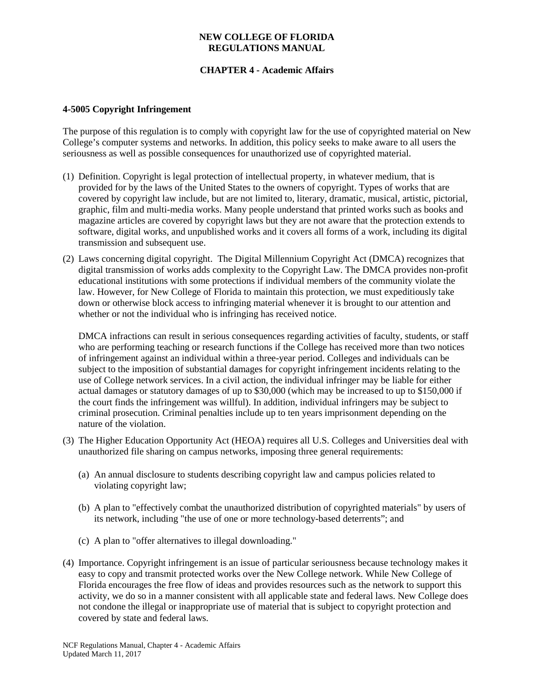### **NEW COLLEGE OF FLORIDA REGULATIONS MANUAL**

# **CHAPTER 4 - Academic Affairs**

#### **4-5005 Copyright Infringement**

The purpose of this regulation is to comply with copyright law for the use of copyrighted material on New College's computer systems and networks. In addition, this policy seeks to make aware to all users the seriousness as well as possible consequences for unauthorized use of copyrighted material.

- (1) Definition. Copyright is legal protection of intellectual property, in whatever medium, that is provided for by the laws of the United States to the owners of copyright. Types of works that are covered by copyright law include, but are not limited to, literary, dramatic, musical, artistic, pictorial, graphic, film and multi-media works. Many people understand that printed works such as books and magazine articles are covered by copyright laws but they are not aware that the protection extends to software, digital works, and unpublished works and it covers all forms of a work, including its digital transmission and subsequent use.
- (2) Laws concerning digital copyright. The Digital Millennium Copyright Act (DMCA) recognizes that digital transmission of works adds complexity to the Copyright Law. The DMCA provides non-profit educational institutions with some protections if individual members of the community violate the law. However, for New College of Florida to maintain this protection, we must expeditiously take down or otherwise block access to infringing material whenever it is brought to our attention and whether or not the individual who is infringing has received notice.

DMCA infractions can result in serious consequences regarding activities of faculty, students, or staff who are performing teaching or research functions if the College has received more than two notices of infringement against an individual within a three-year period. Colleges and individuals can be subject to the imposition of substantial damages for copyright infringement incidents relating to the use of College network services. In a civil action, the individual infringer may be liable for either actual damages or statutory damages of up to \$30,000 (which may be increased to up to \$150,000 if the court finds the infringement was willful). In addition, individual infringers may be subject to criminal prosecution. Criminal penalties include up to ten years imprisonment depending on the nature of the violation.

- (3) The Higher Education Opportunity Act (HEOA) requires all U.S. Colleges and Universities deal with unauthorized file sharing on campus networks, imposing three general requirements:
	- (a) An annual disclosure to students describing copyright law and campus policies related to violating copyright law;
	- (b) A plan to "effectively combat the unauthorized distribution of copyrighted materials" by users of its network, including "the use of one or more technology-based deterrents"; and
	- (c) A plan to "offer alternatives to illegal downloading."
- (4) Importance. Copyright infringement is an issue of particular seriousness because technology makes it easy to copy and transmit protected works over the New College network. While New College of Florida encourages the free flow of ideas and provides resources such as the network to support this activity, we do so in a manner consistent with all applicable state and federal laws. New College does not condone the illegal or inappropriate use of material that is subject to copyright protection and covered by state and federal laws.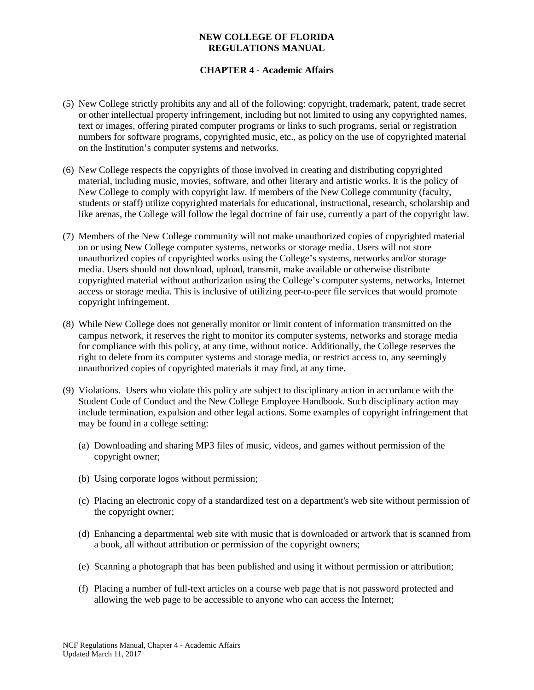### **NEW COLLEGE OF FLORIDA REGULATIONS MANUAL**

# **CHAPTER 4 - Academic Affairs**

- (5) New College strictly prohibits any and all of the following: copyright, trademark, patent, trade secret or other intellectual property infringement, including but not limited to using any copyrighted names, text or images, offering pirated computer programs or links to such programs, serial or registration numbers for software programs, copyrighted music, etc., as policy on the use of copyrighted material on the Institution's computer systems and networks.
- (6) New College respects the copyrights of those involved in creating and distributing copyrighted material, including music, movies, software, and other literary and artistic works. It is the policy of New College to comply with copyright law. If members of the New College community (faculty, students or staff) utilize copyrighted materials for educational, instructional, research, scholarship and like arenas, the College will follow the legal doctrine of fair use, currently a part of the copyright law.
- (7) Members of the New College community will not make unauthorized copies of copyrighted material on or using New College computer systems, networks or storage media. Users will not store unauthorized copies of copyrighted works using the College's systems, networks and/or storage media. Users should not download, upload, transmit, make available or otherwise distribute copyrighted material without authorization using the College's computer systems, networks, Internet access or storage media. This is inclusive of utilizing peer-to-peer file services that would promote copyright infringement.
- (8) While New College does not generally monitor or limit content of information transmitted on the campus network, it reserves the right to monitor its computer systems, networks and storage media for compliance with this policy, at any time, without notice. Additionally, the College reserves the right to delete from its computer systems and storage media, or restrict access to, any seemingly unauthorized copies of copyrighted materials it may find, at any time.
- (9) Violations. Users who violate this policy are subject to disciplinary action in accordance with the Student Code of Conduct and the New College Employee Handbook. Such disciplinary action may include termination, expulsion and other legal actions. Some examples of copyright infringement that may be found in a college setting:
	- (a) Downloading and sharing MP3 files of music, videos, and games without permission of the copyright owner;
	- (b) Using corporate logos without permission;
	- (c) Placing an electronic copy of a standardized test on a department's web site without permission of the copyright owner;
	- (d) Enhancing a departmental web site with music that is downloaded or artwork that is scanned from a book, all without attribution or permission of the copyright owners;
	- (e) Scanning a photograph that has been published and using it without permission or attribution;
	- (f) Placing a number of full-text articles on a course web page that is not password protected and allowing the web page to be accessible to anyone who can access the Internet;